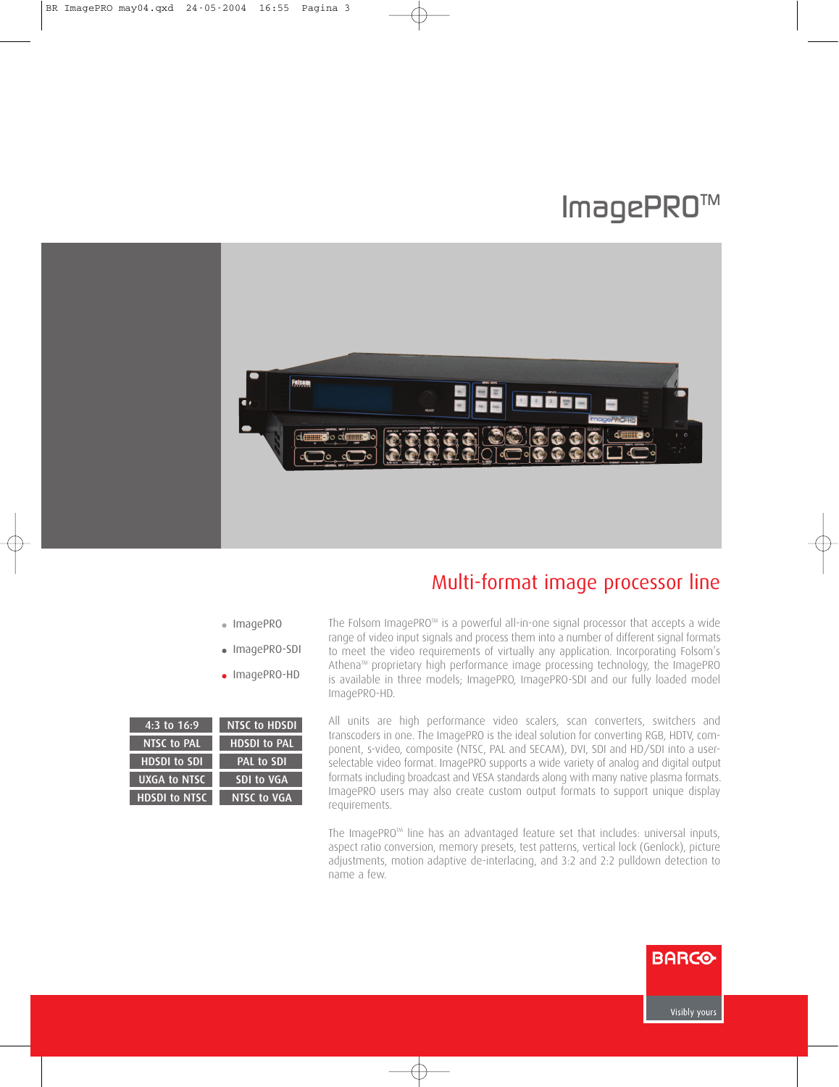# *ImagePROTM*



### Multi-format image processor line

- . ImagePRO
- . ImagePRO-SDI
- . ImagePRO-HD

| 4:3 to $16:9$        | <b>NTSC to HDSDI</b> |
|----------------------|----------------------|
| <b>NTSC to PAL</b>   | <b>HDSDI</b> to PAL  |
| <b>HDSDI</b> to SDI  | <b>PAL to SDI</b>    |
| <b>UXGA to NTSC</b>  | <b>SDI to VGA</b>    |
| <b>HDSDI to NTSC</b> | <b>NTSC to VGA</b>   |

The Folsom ImagePRO™ is a powerful all-in-one signal processor that accepts a wide range of video input signals and process them into a number of different signal formats to meet the video requirements of virtually any application. Incorporating Folsom's Athena<sup>™</sup> proprietary high performance image processing technology, the ImagePRO is available in three models; ImagePRO, ImagePRO-SDI and our fully loaded model ImagePRO-HD.

All units are high performance video scalers, scan converters, switchers and transcoders in one. The ImagePRO is the ideal solution for converting RGB, HDTV, component, s-video, composite (NTSC, PAL and SECAM), DVI, SDI and HD/SDI into a userselectable video format. ImagePRO supports a wide variety of analog and digital output formats including broadcast and VESA standards along with many native plasma formats. ImagePRO users may also create custom output formats to support unique display requirements.

The ImagePRO<sup>™</sup> line has an advantaged feature set that includes: universal inputs, aspect ratio conversion, memory presets, test patterns, vertical lock (Genlock), picture adjustments, motion adaptive de-interlacing, and 3:2 and 2:2 pulldown detection to name a few.

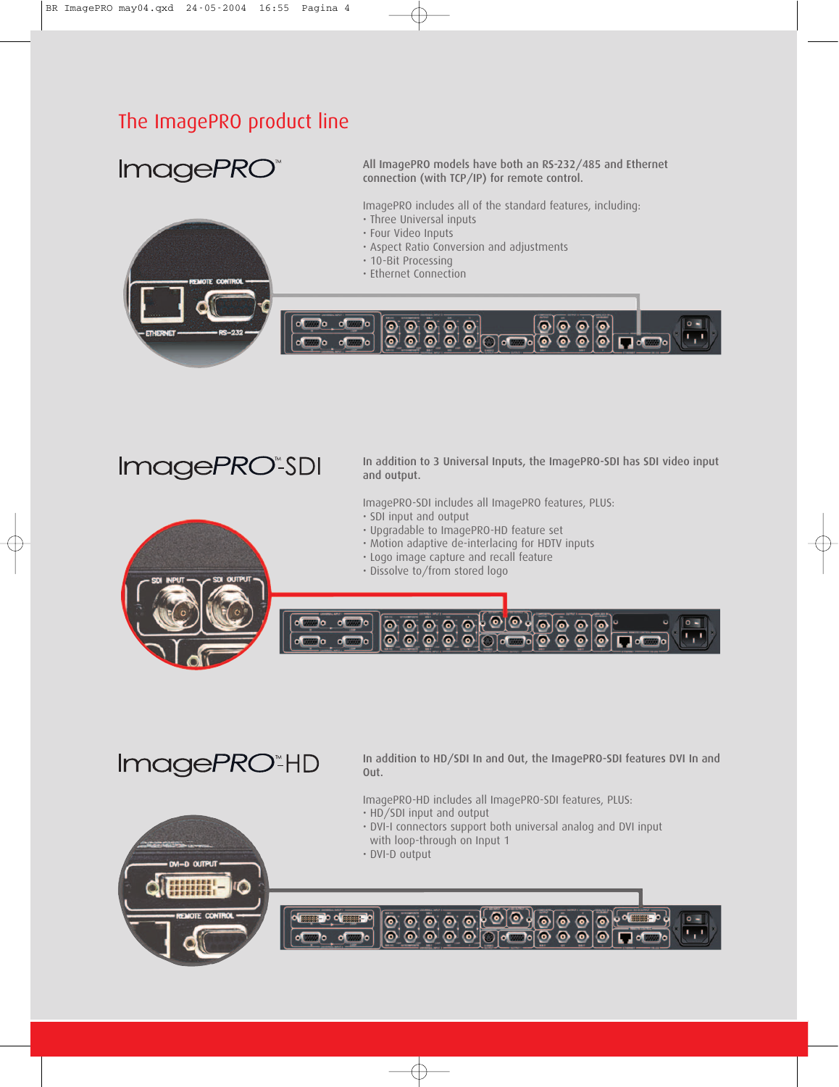### The ImagePRO product line

# **ImagePRC**



# ImagePRO-SDI

In addition to 3 Universal Inputs, the ImagePRO-SDI has SDI video input and output.

All ImagePRO models have both an RS-232/485 and Ethernet

ImagePRO includes all of the standard features, including:

connection (with TCP/IP) for remote control.

ImagePRO-SDI includes all ImagePRO features, PLUS:

- SDI input and output
- Upgradable to ImagePRO-HD feature set
- Motion adaptive de-interlacing for HDTV inputs
- Logo image capture and recall feature
- Dissolve to/from stored logo



### ImagePRO-HD

In addition to HD/SDI In and Out, the ImagePRO-SDI features DVI In and Out.

ImagePRO-HD includes all ImagePRO-SDI features, PLUS:

- HD/SDI input and output
- DVI-I connectors support both universal analog and DVI input with loop-through on Input 1
- DVI-D output







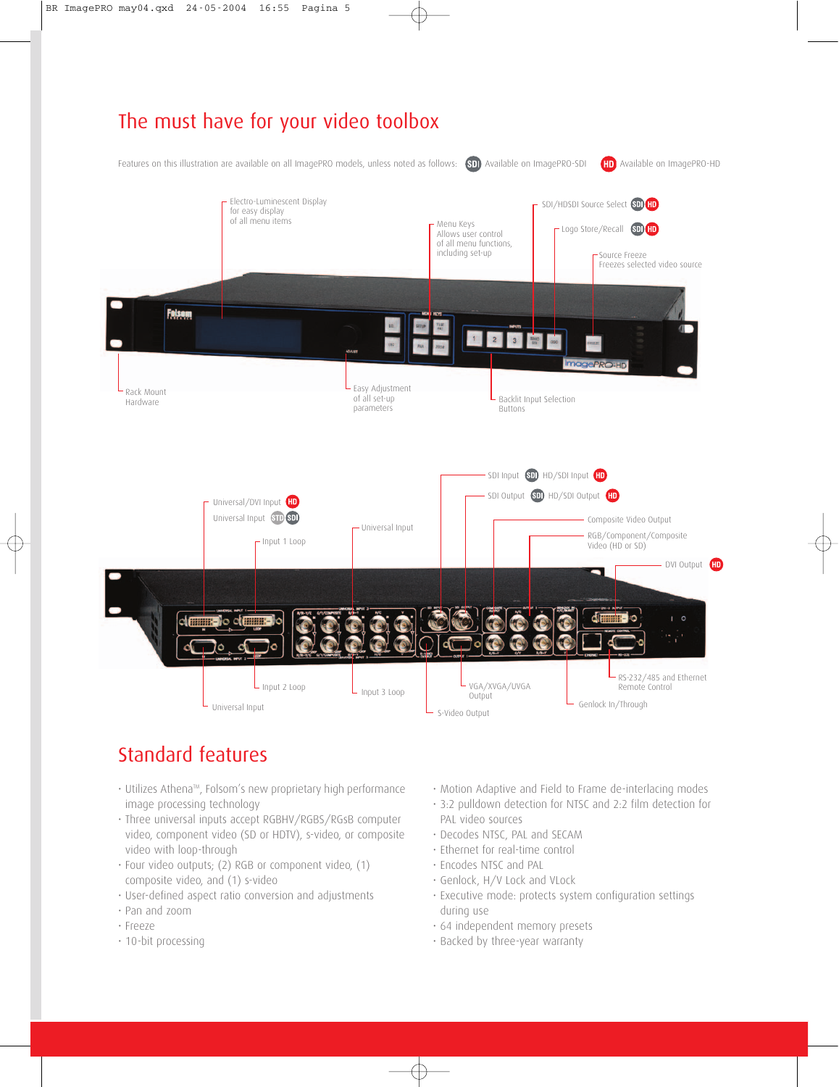# The must have for your video toolbox



# Standard features

- Utilizes Athena<sup>M</sup>, Folsom's new proprietary high performance image processing technology
- Three universal inputs accept RGBHV/RGBS/RGsB computer video, component video (SD or HDTV), s-video, or composite video with loop-through
- Four video outputs; (2) RGB or component video, (1) composite video, and (1) s-video
- User-defined aspect ratio conversion and adjustments
- Pan and zoom
- Freeze
- 10-bit processing
- Motion Adaptive and Field to Frame de-interlacing modes
- 3:2 pulldown detection for NTSC and 2:2 film detection for PAL video sources
- Decodes NTSC, PAL and SECAM
- Ethernet for real-time control
- Encodes NTSC and PAL
- Genlock, H/V Lock and VLock
- Executive mode: protects system configuration settings during use
- 64 independent memory presets
- Backed by three-year warranty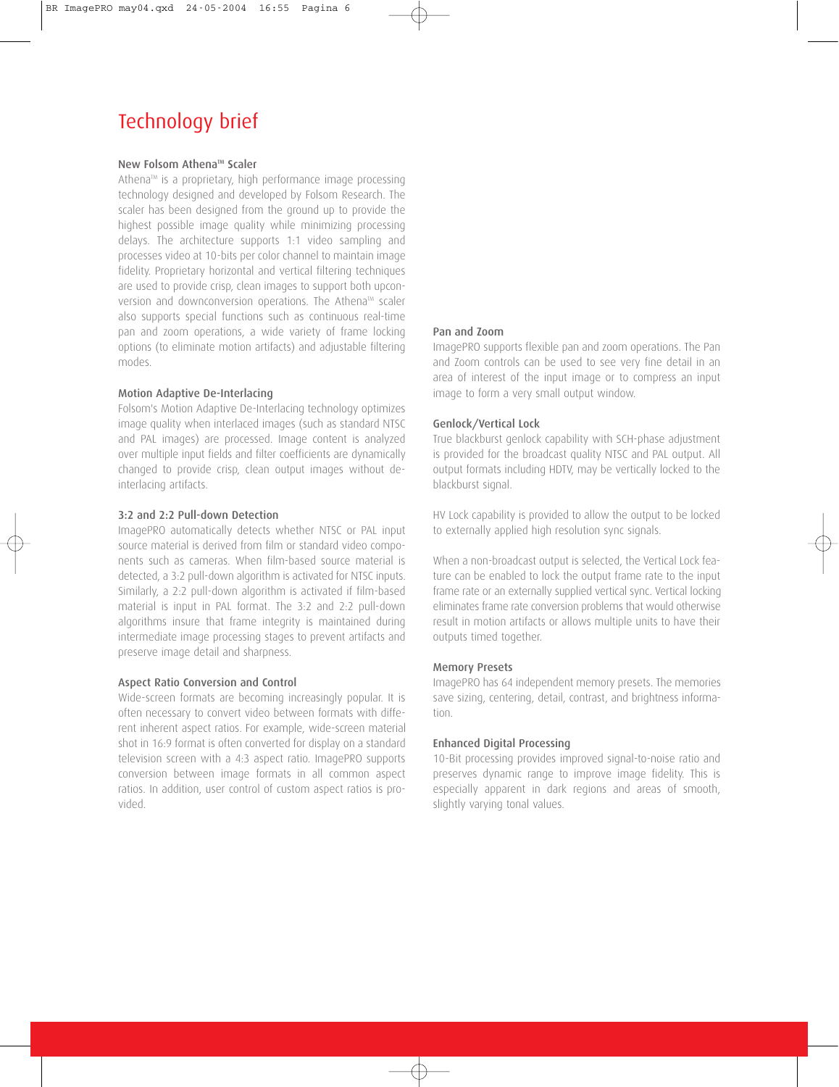### Technology brief

#### New Folsom Athena<sup>™</sup> Scaler

Athena™ is a proprietary, high performance image processing technology designed and developed by Folsom Research. The scaler has been designed from the ground up to provide the highest possible image quality while minimizing processing delays. The architecture supports 1:1 video sampling and processes video at 10-bits per color channel to maintain image fidelity. Proprietary horizontal and vertical filtering techniques are used to provide crisp, clean images to support both upconversion and downconversion operations. The Athena™ scaler also supports special functions such as continuous real-time pan and zoom operations, a wide variety of frame locking options (to eliminate motion artifacts) and adjustable filtering modes.

#### Motion Adaptive De-Interlacing

Folsom's Motion Adaptive De-Interlacing technology optimizes image quality when interlaced images (such as standard NTSC and PAL images) are processed. Image content is analyzed over multiple input fields and filter coefficients are dynamically changed to provide crisp, clean output images without deinterlacing artifacts.

#### 3:2 and 2:2 Pull-down Detection

ImagePRO automatically detects whether NTSC or PAL input source material is derived from film or standard video components such as cameras. When film-based source material is detected, a 3:2 pull-down algorithm is activated for NTSC inputs. Similarly, a 2:2 pull-down algorithm is activated if film-based material is input in PAL format. The 3:2 and 2:2 pull-down algorithms insure that frame integrity is maintained during intermediate image processing stages to prevent artifacts and preserve image detail and sharpness.

#### Aspect Ratio Conversion and Control

Wide-screen formats are becoming increasingly popular. It is often necessary to convert video between formats with different inherent aspect ratios. For example, wide-screen material shot in 16:9 format is often converted for display on a standard television screen with a 4:3 aspect ratio. ImagePRO supports conversion between image formats in all common aspect ratios. In addition, user control of custom aspect ratios is provided.

#### Pan and Zoom

ImagePRO supports flexible pan and zoom operations. The Pan and Zoom controls can be used to see very fine detail in an area of interest of the input image or to compress an input image to form a very small output window.

#### Genlock/Vertical Lock

True blackburst genlock capability with SCH-phase adjustment is provided for the broadcast quality NTSC and PAL output. All output formats including HDTV, may be vertically locked to the blackburst signal.

HV Lock capability is provided to allow the output to be locked to externally applied high resolution sync signals.

When a non-broadcast output is selected, the Vertical Lock feature can be enabled to lock the output frame rate to the input frame rate or an externally supplied vertical sync. Vertical locking eliminates frame rate conversion problems that would otherwise result in motion artifacts or allows multiple units to have their outputs timed together.

#### Memory Presets

ImagePRO has 64 independent memory presets. The memories save sizing, centering, detail, contrast, and brightness information.

#### Enhanced Digital Processing

10-Bit processing provides improved signal-to-noise ratio and preserves dynamic range to improve image fidelity. This is especially apparent in dark regions and areas of smooth, slightly varying tonal values.  $\frac{1}{2}$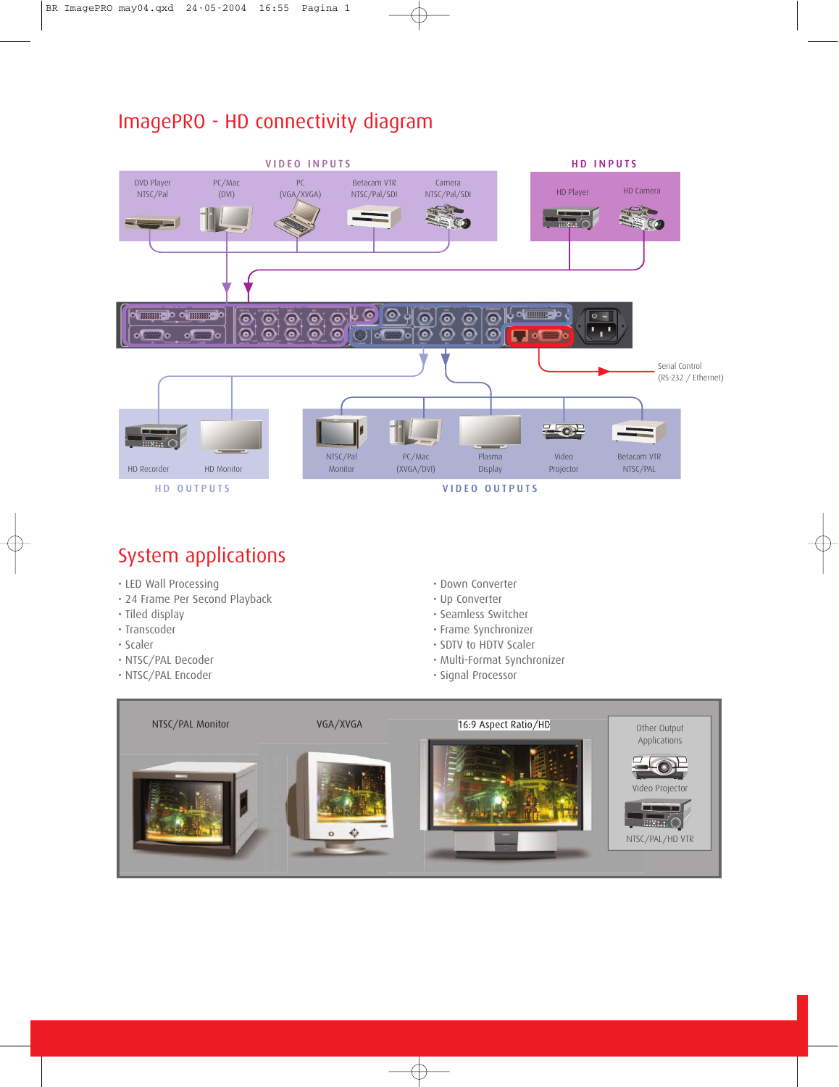### ImagePRO - HD connectivity diagram



# System applications

- LED Wall Processing  **LED Wall Processing**
- 24 Frame Per Second Playback Up Converter
- 
- 
- 
- 
- NTSC/PAL Encoder Signal Processor
- 
- 
- Tiled display **•** Seamless Switcher
- Transcoder Frame Synchronizer
- Scaler Scaler Scaler Scaler Scaler Scaler Scaler Scaler Scaler Scaler Scaler Scaler Scaler Scaler Scaler Scaler Scaler Scaler Scaler Scaler Scaler Scaler Scaler Scaler Scal
- NTSC/PAL Decoder Multi-Format Synchronizer
	-